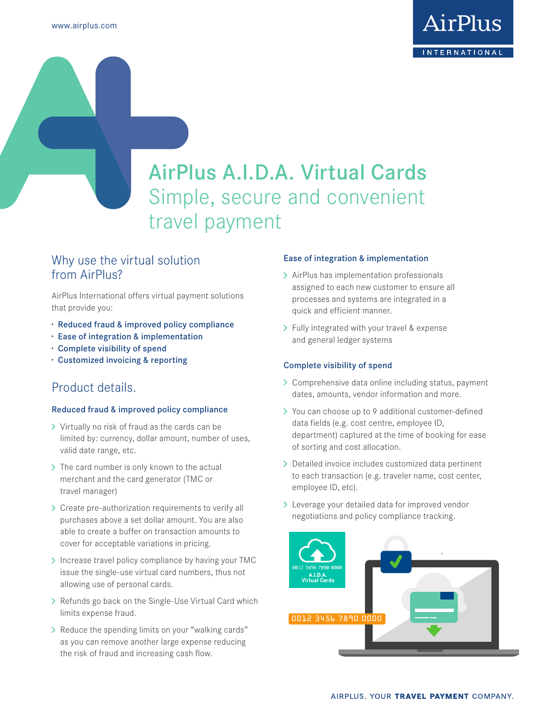

# AirPlus A.I.D.A. Virtual Cards Simple, secure and convenient travel payment

# Why use the virtual solution from AirPlus?

AirPlus International offers virtual payment solutions that provide you:

- **·** Reduced fraud & improved policy compliance
- **·** Ease of integration & implementation
- **·** Complete visibility of spend
- **·** Customized invoicing & reporting

## Product details.

#### Reduced fraud & improved policy compliance

- > Virtually no risk of fraud as the cards can be limited by: currency, dollar amount, number of uses, valid date range, etc.
- > The card number is only known to the actual merchant and the card generator (TMC or travel manager)
- > Create pre-authorization requirements to verify all purchases above a set dollar amount. You are also able to create a buffer on transaction amounts to cover for acceptable variations in pricing.
- > Increase travel policy compliance by having your TMC issue the single-use virtual card numbers, thus not allowing use of personal cards.
- > Refunds go back on the Single-Use Virtual Card which limits expense fraud.
- > Reduce the spending limits on your "walking cards" as you can remove another large expense reducing the risk of fraud and increasing cash flow.

#### Ease of integration & implementation

- > AirPlus has implementation professionals assigned to each new customer to ensure all processes and systems are integrated in a quick and efficient manner.
- > Fully integrated with your travel & expense and general ledger systems

#### Complete visibility of spend

- > Comprehensive data online including status, payment dates, amounts, vendor information and more.
- > You can choose up to 9 additional customer-defined data fields (e.g. cost centre, employee ID, department) captured at the time of booking for ease of sorting and cost allocation.
- > Detailed invoice includes customized data pertinent to each transaction (e.g. traveler name, cost center, employee ID, etc).
- Leverage your detailed data for improved vendor negotiations and policy compliance tracking.